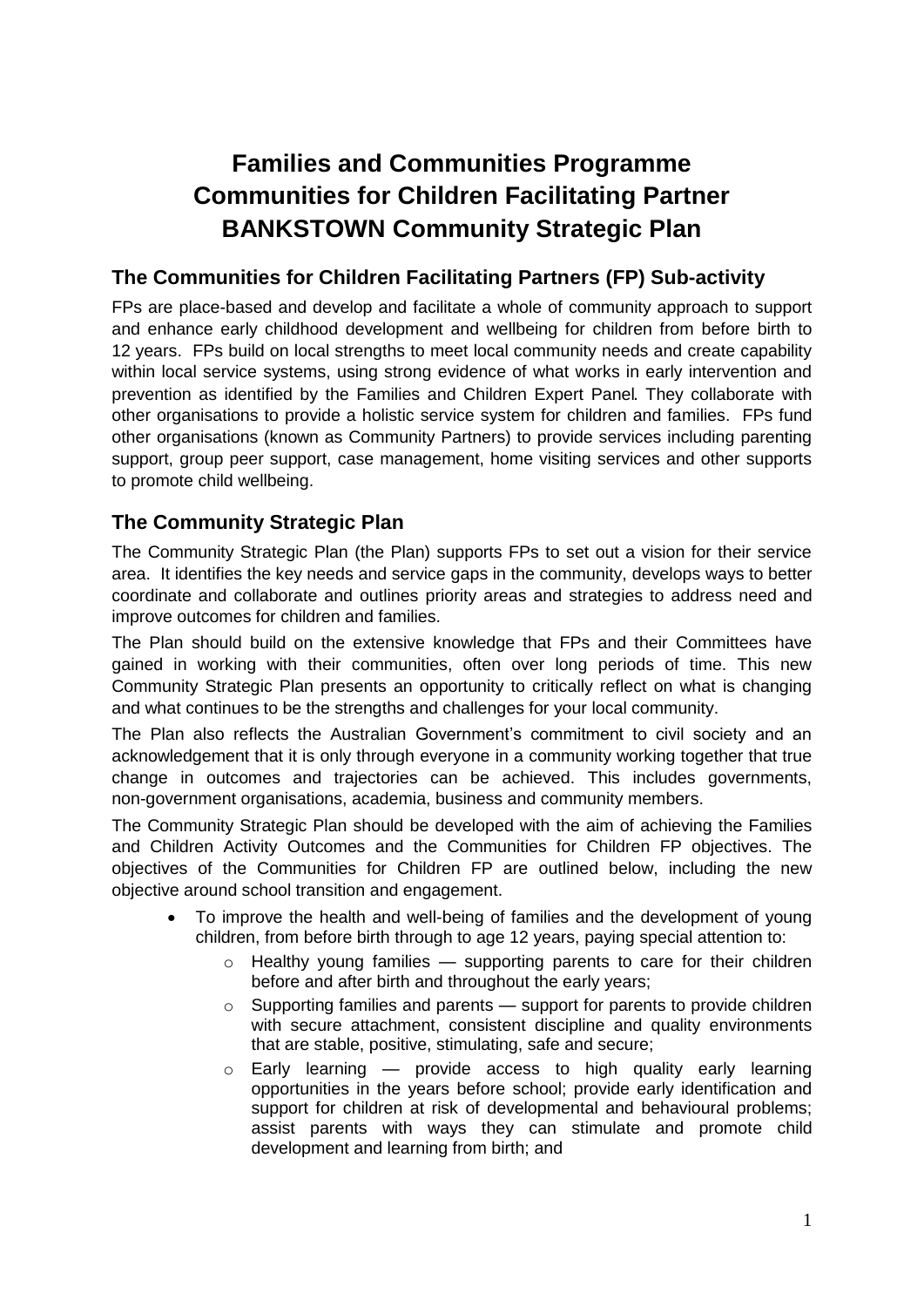# **Families and Communities Programme Communities for Children Facilitating Partner BANKSTOWN Community Strategic Plan**

# **The Communities for Children Facilitating Partners (FP) Sub-activity**

FPs are place-based and develop and facilitate a whole of community approach to support and enhance early childhood development and wellbeing for children from before birth to 12 years. FPs build on local strengths to meet local community needs and create capability within local service systems, using strong evidence of what works in early intervention and prevention as identified by the Families and Children Expert Panel. They collaborate with other organisations to provide a holistic service system for children and families. FPs fund other organisations (known as Community Partners) to provide services including parenting support, group peer support, case management, home visiting services and other supports to promote child wellbeing.

# **The Community Strategic Plan**

The Community Strategic Plan (the Plan) supports FPs to set out a vision for their service area. It identifies the key needs and service gaps in the community, develops ways to better coordinate and collaborate and outlines priority areas and strategies to address need and improve outcomes for children and families.

The Plan should build on the extensive knowledge that FPs and their Committees have gained in working with their communities, often over long periods of time. This new Community Strategic Plan presents an opportunity to critically reflect on what is changing and what continues to be the strengths and challenges for your local community.

The Plan also reflects the Australian Government's commitment to civil society and an acknowledgement that it is only through everyone in a community working together that true change in outcomes and trajectories can be achieved. This includes governments, non-government organisations, academia, business and community members.

The Community Strategic Plan should be developed with the aim of achieving the Families and Children Activity Outcomes and the Communities for Children FP objectives. The objectives of the Communities for Children FP are outlined below, including the new objective around school transition and engagement.

- To improve the health and well-being of families and the development of young children, from before birth through to age 12 years, paying special attention to:
	- $\circ$  Healthy voung families  $\sim$  supporting parents to care for their children before and after birth and throughout the early years;
	- $\circ$  Supporting families and parents support for parents to provide children with secure attachment, consistent discipline and quality environments that are stable, positive, stimulating, safe and secure;
	- $\circ$  Early learning provide access to high quality early learning opportunities in the years before school; provide early identification and support for children at risk of developmental and behavioural problems; assist parents with ways they can stimulate and promote child development and learning from birth; and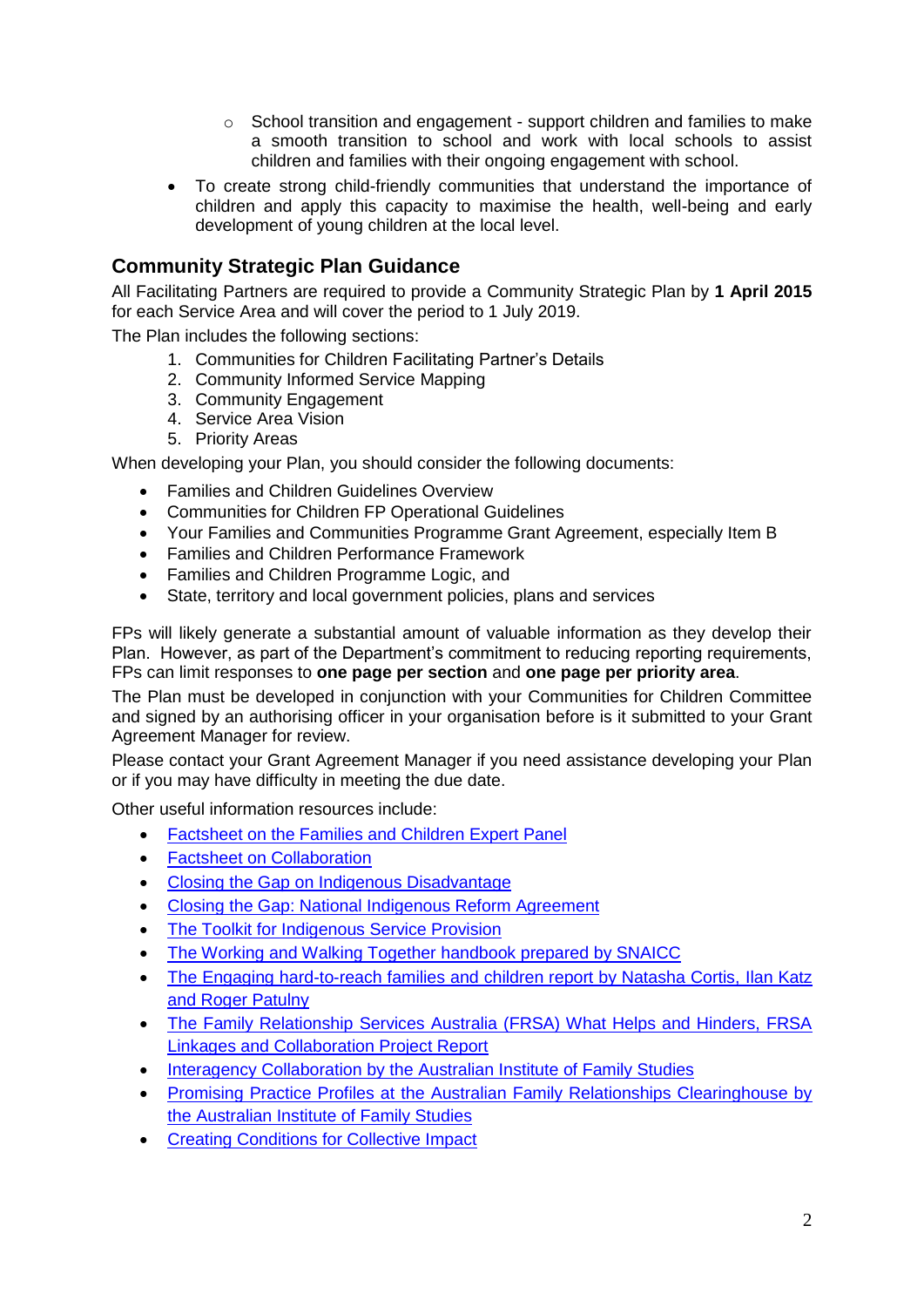- $\circ$  School transition and engagement support children and families to make a smooth transition to school and work with local schools to assist children and families with their ongoing engagement with school.
- To create strong child-friendly communities that understand the importance of children and apply this capacity to maximise the health, well-being and early development of young children at the local level.

# **Community Strategic Plan Guidance**

All Facilitating Partners are required to provide a Community Strategic Plan by **1 April 2015** for each Service Area and will cover the period to 1 July 2019.

The Plan includes the following sections:

- 1. Communities for Children Facilitating Partner's Details
- 2. Community Informed Service Mapping
- 3. Community Engagement
- 4. Service Area Vision
- 5. Priority Areas

When developing your Plan, you should consider the following documents:

- Families and Children Guidelines Overview
- Communities for Children FP Operational Guidelines
- Your Families and Communities Programme Grant Agreement, especially Item B
- Families and Children Performance Framework
- Families and Children Programme Logic, and
- State, territory and local government policies, plans and services

FPs will likely generate a substantial amount of valuable information as they develop their Plan. However, as part of the Department's commitment to reducing reporting requirements, FPs can limit responses to **one page per section** and **one page per priority area**.

The Plan must be developed in conjunction with your Communities for Children Committee and signed by an authorising officer in your organisation before is it submitted to your Grant Agreement Manager for review.

Please contact your Grant Agreement Manager if you need assistance developing your Plan or if you may have difficulty in meeting the due date.

Other useful information resources include:

- [Factsheet on the Families and Children Expert Panel](http://www.dss.gov.au/our-responsibilities/families-and-children/programs-services/family-support-program/families-and-children-activity-expert-panel)
- [Factsheet on Collaboration](http://www.dss.gov.au/our-responsibilities/families-and-children/programs-services/family-support-program/factsheet-collaboration)
- [Closing the Gap on Indigenous Disadvantage](https://www.coag.gov.au/closing_the_gap_in_indigenous_disadvantage)
- [Closing the Gap: National Indigenous Reform Agreement](https://www.coag.gov.au/node/145)
- [The Toolkit for Indigenous Service Provision](http://www.dss.gov.au/our-responsibilities/indigenous-australians/programs-services/recognition-respect/toolkit-for-indigenous-service-provision)
- [The Working and Walking Together handbook prepared by SNAICC](http://www.google.com.au/url?url=http://www.snaicc.org.au/_uploads/rsfil/02497.pdf&rct=j&frm=1&q=&esrc=s&sa=U&ei=3qqnU8HlGYKQkwXGgoHYCg&ved=0CBQQFjAA&usg=AFQjCNF61xvh9XDBs57QBTy4tZk_468UaA)
- The Engaging hard-to-reach families and children report by Natasha Cortis, Ilan Katz [and Roger Patulny](https://www.google.com/url?url=https://www.sprc.unsw.edu.au/media/SPRCFile/33_OccPaper_26.pdf&rct=j&frm=1&q=&esrc=s&sa=U&ei=MaunU4XAA8jGkwXElYC4Cw&ved=0CCkQFjAD&usg=AFQjCNG9B-OYYAlfalZmdjdjldFeQr2Mtw)
- The Family Relationship Services Australia (FRSA) What Helps and Hinders, FRSA [Linkages and Collaboration Project Report](http://www.google.com.au/url?url=http://www.frsa.org.au/storage/documents-pdfs/FRSA%2520Linkages%2520Collaboration%2520Report%2520vWeb.pdf&rct=j&frm=1&q=&esrc=s&sa=U&ei=0K2nU4rDC468kAW7zoHICg&ved=0CBQQFjAA&usg=AFQjCNGfhY9qS41lAB_4TwTCYISlw5eO3g)
- [Interagency Collaboration by the Australian Institute of Family Studies](http://www.google.com.au/url?url=http://www.aifs.gov.au/afrc/pubs/briefing/b021/bp21a.pdf&rct=j&frm=1&q=&esrc=s&sa=U&ei=Ya6nU_b4C8PgkAXhvYCoCw&ved=0CBQQFjAA&usg=AFQjCNFZMpbMv_tOAOVIlsJV2bbCchkN7A)
- Promising Practice Profiles at the Australian Family Relationships Clearinghouse by [the Australian Institute of Family Studies](http://www.aifs.gov.au/cafca/ppp/ppp.html)
- **[Creating Conditions for Collective Impact](http://www.griffith.edu.au/criminology-law/key-centre-ethics-law-justice-governance/research/prevention-developmental-pathways/creating-conditions-for-collective-impact)**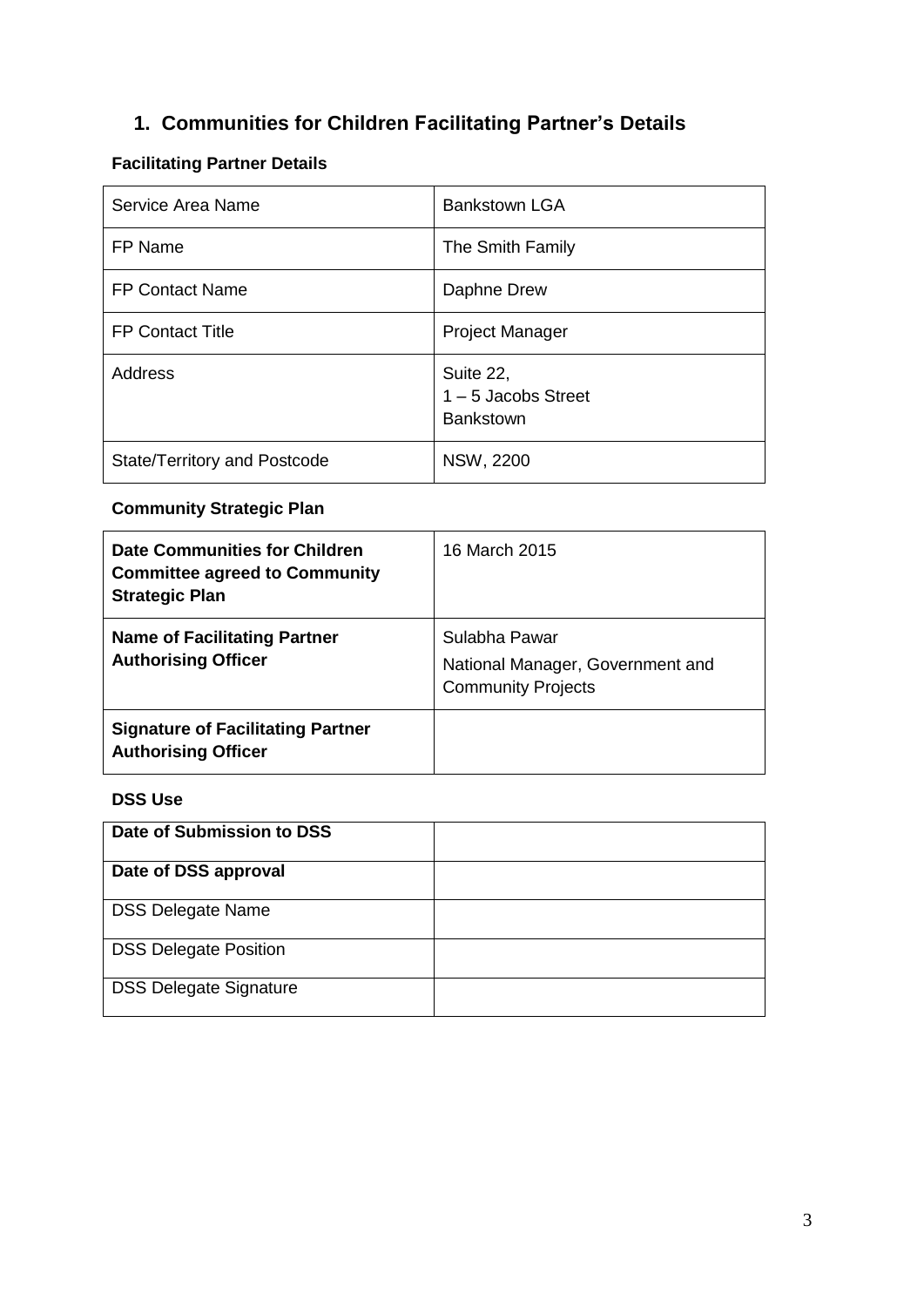# **1. Communities for Children Facilitating Partner's Details**

# **Facilitating Partner Details**

| Service Area Name            | <b>Bankstown LGA</b>                                   |
|------------------------------|--------------------------------------------------------|
| FP Name                      | The Smith Family                                       |
| <b>FP Contact Name</b>       | Daphne Drew                                            |
| <b>FP Contact Title</b>      | <b>Project Manager</b>                                 |
| Address                      | Suite 22,<br>$1 - 5$ Jacobs Street<br><b>Bankstown</b> |
| State/Territory and Postcode | <b>NSW, 2200</b>                                       |

# **Community Strategic Plan**

| <b>Date Communities for Children</b><br><b>Committee agreed to Community</b><br><b>Strategic Plan</b> | 16 March 2015                                                                  |
|-------------------------------------------------------------------------------------------------------|--------------------------------------------------------------------------------|
| <b>Name of Facilitating Partner</b><br><b>Authorising Officer</b>                                     | Sulabha Pawar<br>National Manager, Government and<br><b>Community Projects</b> |
| <b>Signature of Facilitating Partner</b><br><b>Authorising Officer</b>                                |                                                                                |

# **DSS Use**

| Date of Submission to DSS     |  |
|-------------------------------|--|
| Date of DSS approval          |  |
| <b>DSS Delegate Name</b>      |  |
| <b>DSS Delegate Position</b>  |  |
| <b>DSS Delegate Signature</b> |  |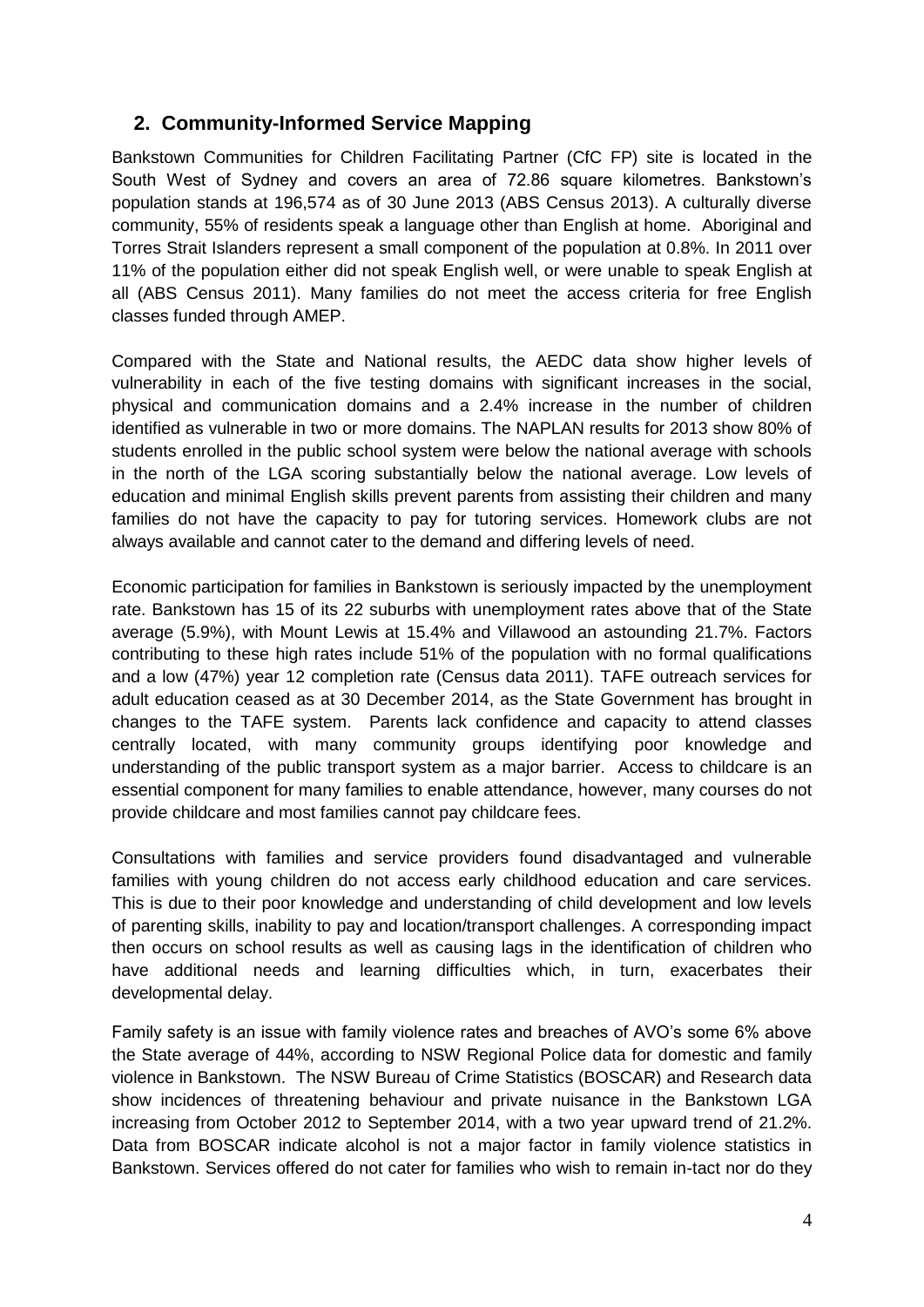# **2. Community-Informed Service Mapping**

Bankstown Communities for Children Facilitating Partner (CfC FP) site is located in the South West of Sydney and covers an area of 72.86 square kilometres. Bankstown's population stands at 196,574 as of 30 June 2013 (ABS Census 2013). A culturally diverse community, 55% of residents speak a language other than English at home. Aboriginal and Torres Strait Islanders represent a small component of the population at 0.8%. In 2011 over 11% of the population either did not speak English well, or were unable to speak English at all (ABS Census 2011). Many families do not meet the access criteria for free English classes funded through AMEP.

Compared with the State and National results, the AEDC data show higher levels of vulnerability in each of the five testing domains with significant increases in the social, physical and communication domains and a 2.4% increase in the number of children identified as vulnerable in two or more domains. The NAPLAN results for 2013 show 80% of students enrolled in the public school system were below the national average with schools in the north of the LGA scoring substantially below the national average. Low levels of education and minimal English skills prevent parents from assisting their children and many families do not have the capacity to pay for tutoring services. Homework clubs are not always available and cannot cater to the demand and differing levels of need.

Economic participation for families in Bankstown is seriously impacted by the unemployment rate. Bankstown has 15 of its 22 suburbs with unemployment rates above that of the State average (5.9%), with Mount Lewis at 15.4% and Villawood an astounding 21.7%. Factors contributing to these high rates include 51% of the population with no formal qualifications and a low (47%) year 12 completion rate (Census data 2011). TAFE outreach services for adult education ceased as at 30 December 2014, as the State Government has brought in changes to the TAFE system. Parents lack confidence and capacity to attend classes centrally located, with many community groups identifying poor knowledge and understanding of the public transport system as a major barrier. Access to childcare is an essential component for many families to enable attendance, however, many courses do not provide childcare and most families cannot pay childcare fees.

Consultations with families and service providers found disadvantaged and vulnerable families with young children do not access early childhood education and care services. This is due to their poor knowledge and understanding of child development and low levels of parenting skills, inability to pay and location/transport challenges. A corresponding impact then occurs on school results as well as causing lags in the identification of children who have additional needs and learning difficulties which, in turn, exacerbates their developmental delay.

Family safety is an issue with family violence rates and breaches of AVO's some 6% above the State average of 44%, according to NSW Regional Police data for domestic and family violence in Bankstown. The NSW Bureau of Crime Statistics (BOSCAR) and Research data show incidences of threatening behaviour and private nuisance in the Bankstown LGA increasing from October 2012 to September 2014, with a two year upward trend of 21.2%. Data from BOSCAR indicate alcohol is not a major factor in family violence statistics in Bankstown. Services offered do not cater for families who wish to remain in-tact nor do they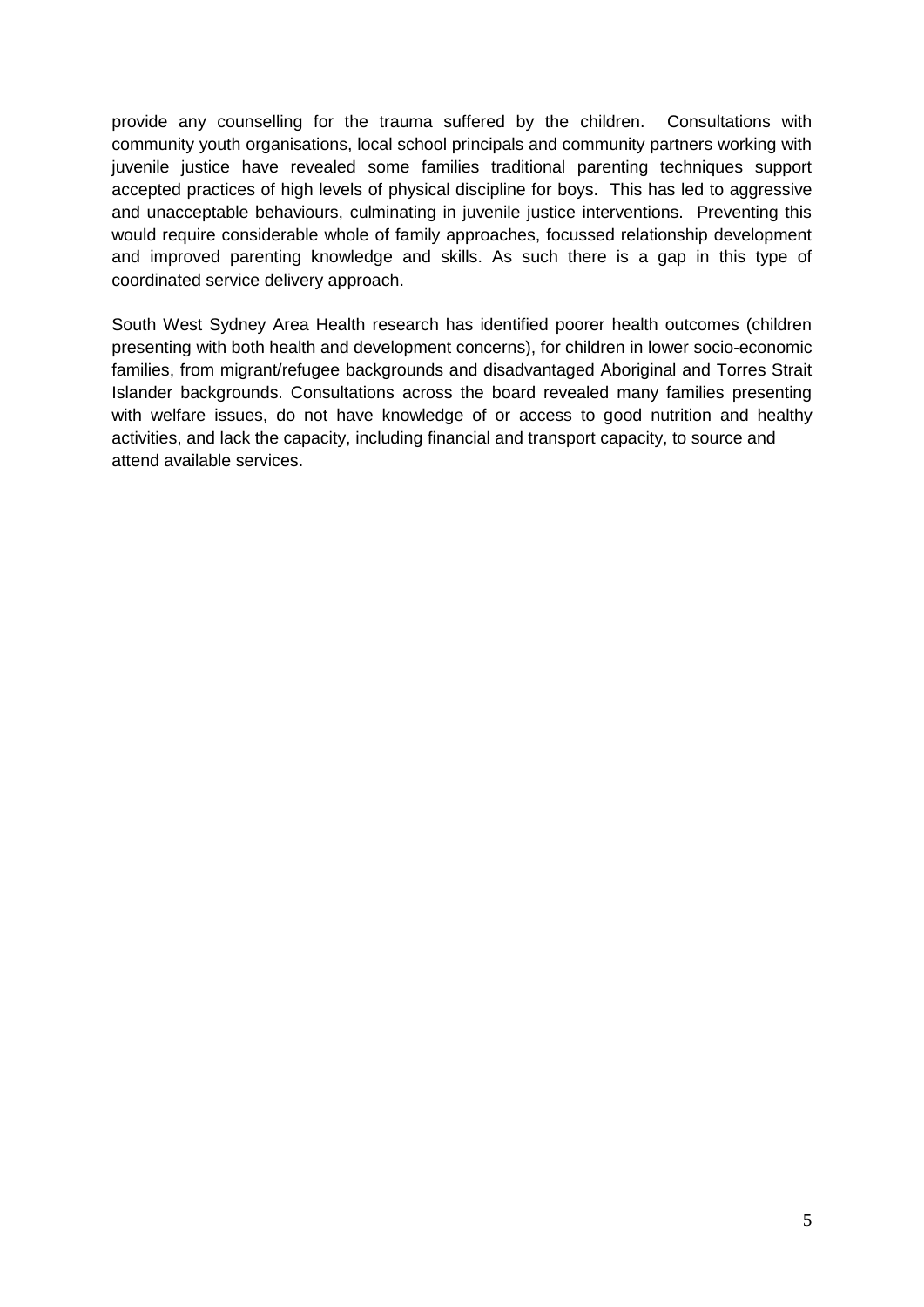provide any counselling for the trauma suffered by the children. Consultations with community youth organisations, local school principals and community partners working with juvenile justice have revealed some families traditional parenting techniques support accepted practices of high levels of physical discipline for boys. This has led to aggressive and unacceptable behaviours, culminating in juvenile justice interventions. Preventing this would require considerable whole of family approaches, focussed relationship development and improved parenting knowledge and skills. As such there is a gap in this type of coordinated service delivery approach.

South West Sydney Area Health research has identified poorer health outcomes (children presenting with both health and development concerns), for children in lower socio-economic families, from migrant/refugee backgrounds and disadvantaged Aboriginal and Torres Strait Islander backgrounds. Consultations across the board revealed many families presenting with welfare issues, do not have knowledge of or access to good nutrition and healthy activities, and lack the capacity, including financial and transport capacity, to source and attend available services.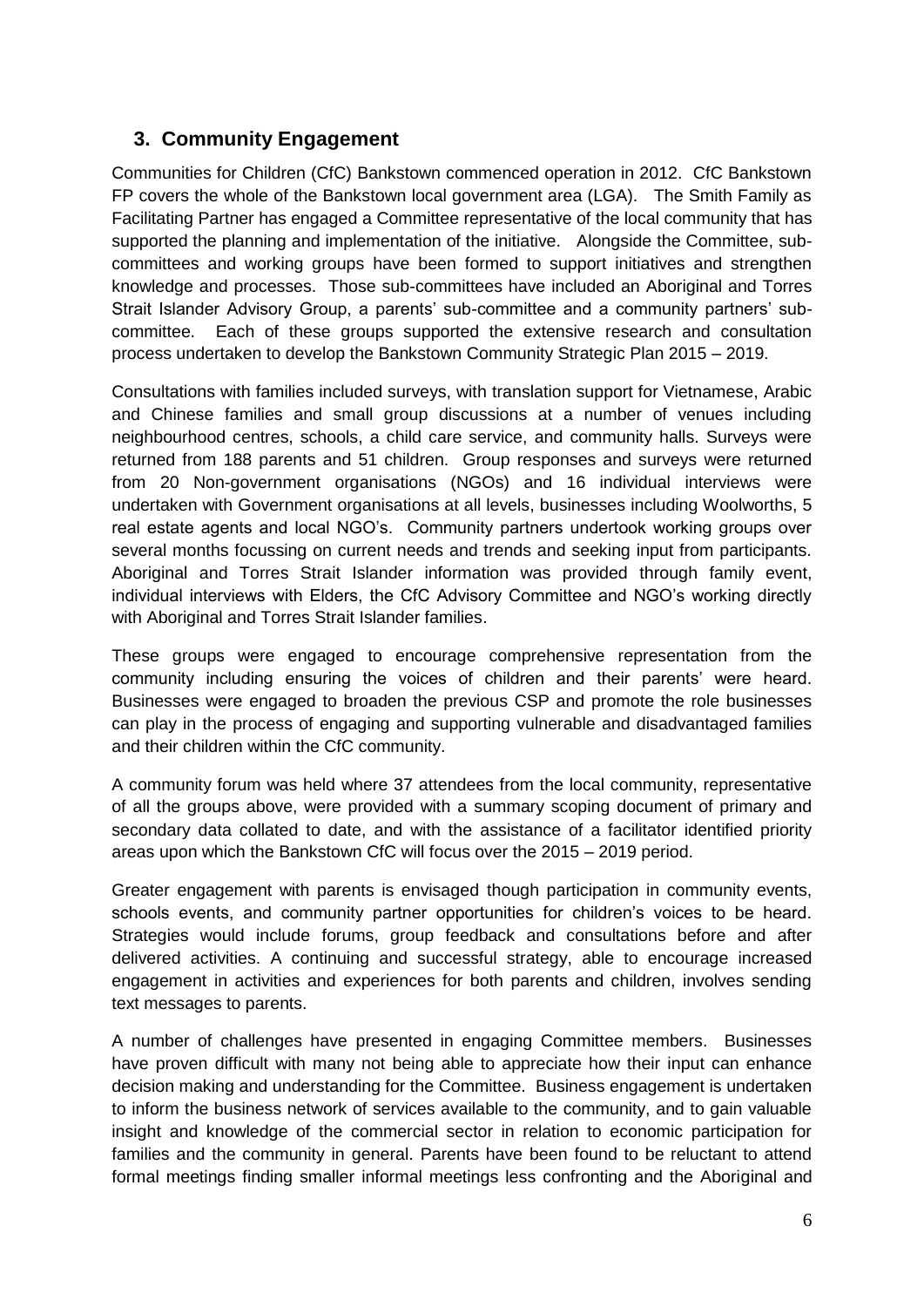# **3. Community Engagement**

Communities for Children (CfC) Bankstown commenced operation in 2012. CfC Bankstown FP covers the whole of the Bankstown local government area (LGA). The Smith Family as Facilitating Partner has engaged a Committee representative of the local community that has supported the planning and implementation of the initiative. Alongside the Committee, subcommittees and working groups have been formed to support initiatives and strengthen knowledge and processes. Those sub-committees have included an Aboriginal and Torres Strait Islander Advisory Group, a parents' sub-committee and a community partners' subcommittee. Each of these groups supported the extensive research and consultation process undertaken to develop the Bankstown Community Strategic Plan 2015 – 2019.

Consultations with families included surveys, with translation support for Vietnamese, Arabic and Chinese families and small group discussions at a number of venues including neighbourhood centres, schools, a child care service, and community halls. Surveys were returned from 188 parents and 51 children. Group responses and surveys were returned from 20 Non-government organisations (NGOs) and 16 individual interviews were undertaken with Government organisations at all levels, businesses including Woolworths, 5 real estate agents and local NGO's. Community partners undertook working groups over several months focussing on current needs and trends and seeking input from participants. Aboriginal and Torres Strait Islander information was provided through family event, individual interviews with Elders, the CfC Advisory Committee and NGO's working directly with Aboriginal and Torres Strait Islander families.

These groups were engaged to encourage comprehensive representation from the community including ensuring the voices of children and their parents' were heard. Businesses were engaged to broaden the previous CSP and promote the role businesses can play in the process of engaging and supporting vulnerable and disadvantaged families and their children within the CfC community.

A community forum was held where 37 attendees from the local community, representative of all the groups above, were provided with a summary scoping document of primary and secondary data collated to date, and with the assistance of a facilitator identified priority areas upon which the Bankstown CfC will focus over the 2015 – 2019 period.

Greater engagement with parents is envisaged though participation in community events, schools events, and community partner opportunities for children's voices to be heard. Strategies would include forums, group feedback and consultations before and after delivered activities. A continuing and successful strategy, able to encourage increased engagement in activities and experiences for both parents and children, involves sending text messages to parents.

A number of challenges have presented in engaging Committee members. Businesses have proven difficult with many not being able to appreciate how their input can enhance decision making and understanding for the Committee. Business engagement is undertaken to inform the business network of services available to the community, and to gain valuable insight and knowledge of the commercial sector in relation to economic participation for families and the community in general. Parents have been found to be reluctant to attend formal meetings finding smaller informal meetings less confronting and the Aboriginal and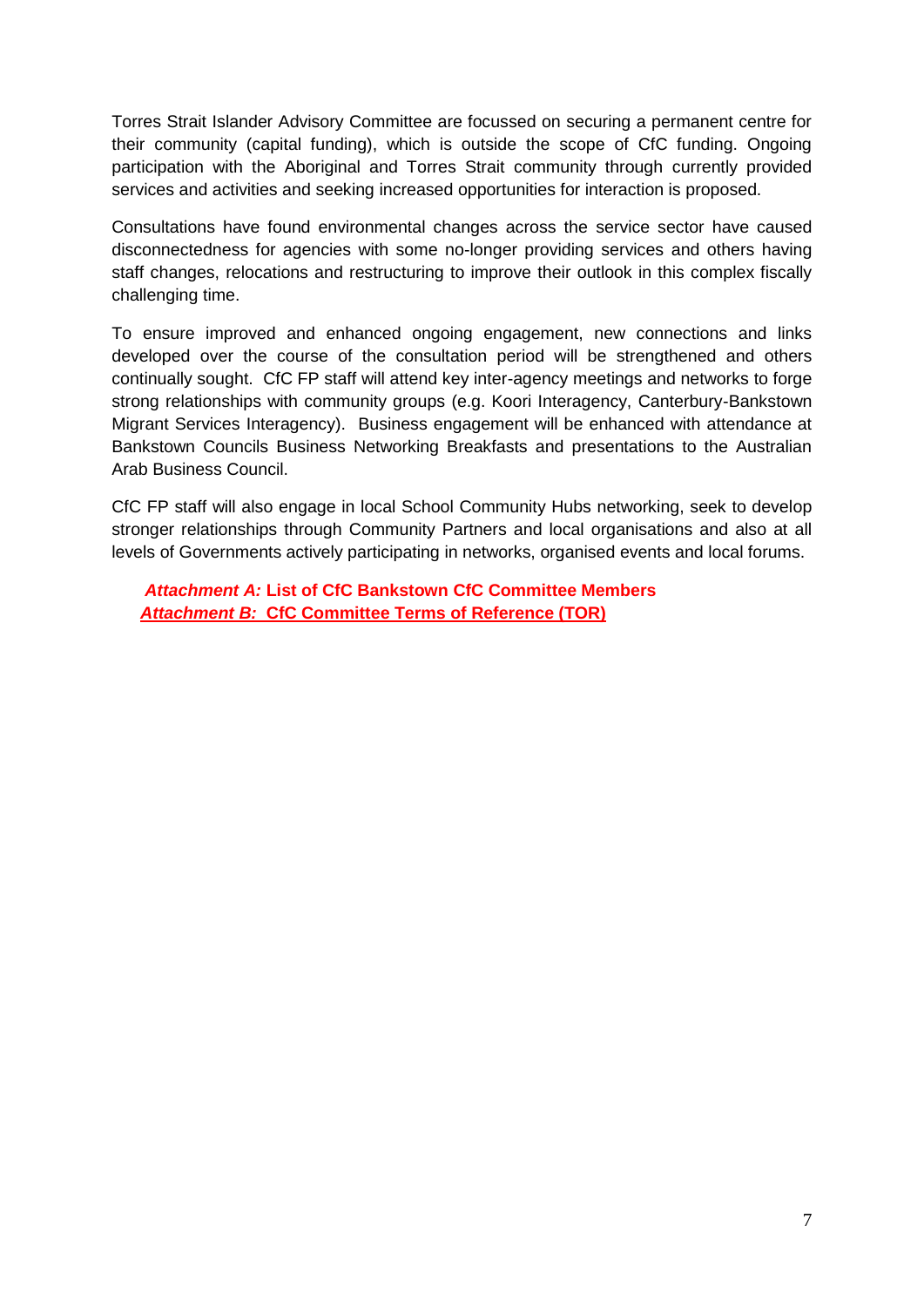Torres Strait Islander Advisory Committee are focussed on securing a permanent centre for their community (capital funding), which is outside the scope of CfC funding. Ongoing participation with the Aboriginal and Torres Strait community through currently provided services and activities and seeking increased opportunities for interaction is proposed.

Consultations have found environmental changes across the service sector have caused disconnectedness for agencies with some no-longer providing services and others having staff changes, relocations and restructuring to improve their outlook in this complex fiscally challenging time.

To ensure improved and enhanced ongoing engagement, new connections and links developed over the course of the consultation period will be strengthened and others continually sought. CfC FP staff will attend key inter-agency meetings and networks to forge strong relationships with community groups (e.g. Koori Interagency, Canterbury-Bankstown Migrant Services Interagency). Business engagement will be enhanced with attendance at Bankstown Councils Business Networking Breakfasts and presentations to the Australian Arab Business Council.

CfC FP staff will also engage in local School Community Hubs networking, seek to develop stronger relationships through Community Partners and local organisations and also at all levels of Governments actively participating in networks, organised events and local forums.

*Attachment A:* **List of CfC Bankstown CfC Committee Members**  *Attachment B:* **CfC Committee Terms of Reference (TOR)**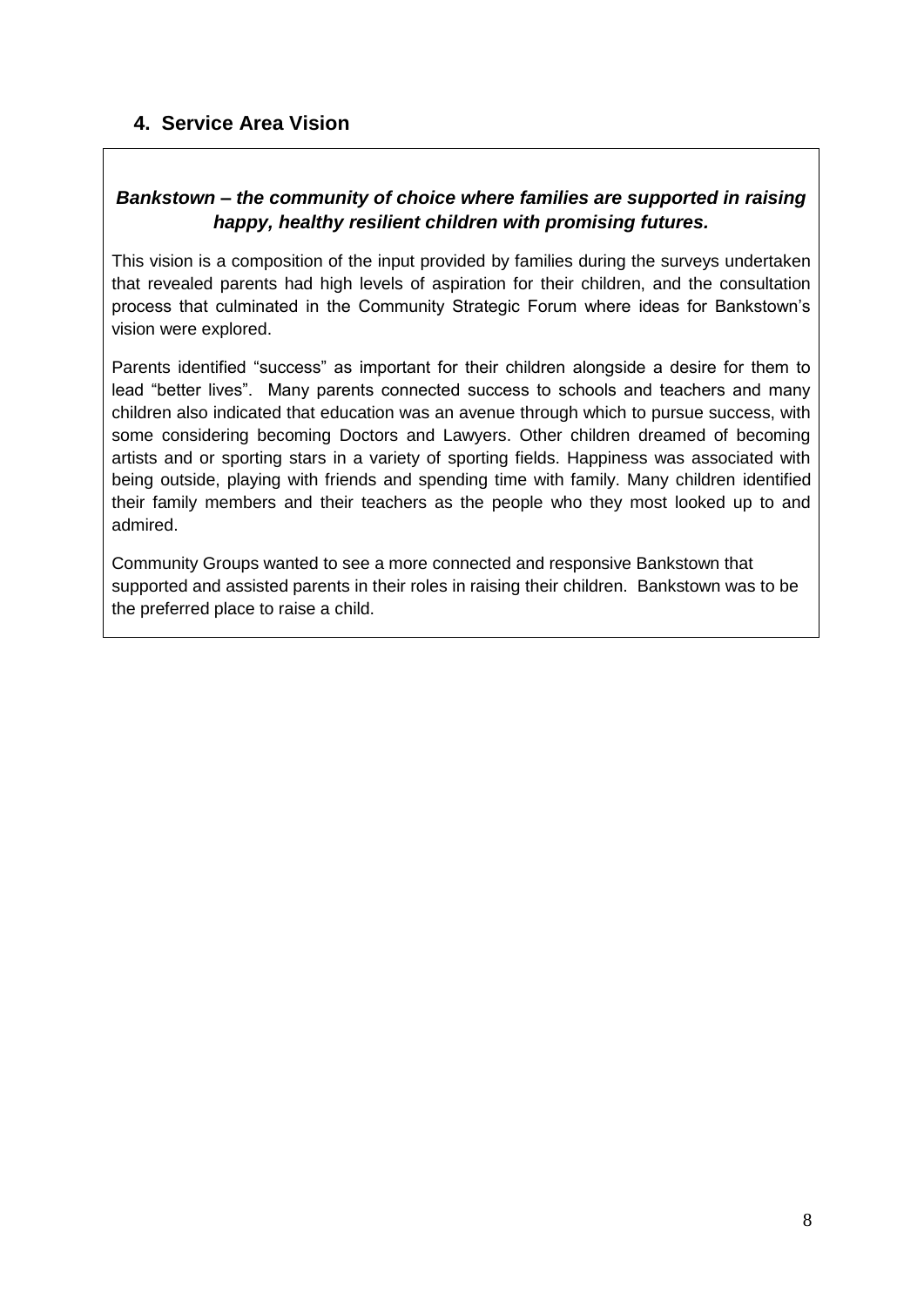# **4. Service Area Vision**

# *Bankstown – the community of choice where families are supported in raising happy, healthy resilient children with promising futures.*

This vision is a composition of the input provided by families during the surveys undertaken that revealed parents had high levels of aspiration for their children, and the consultation process that culminated in the Community Strategic Forum where ideas for Bankstown's vision were explored.

Parents identified "success" as important for their children alongside a desire for them to lead "better lives". Many parents connected success to schools and teachers and many children also indicated that education was an avenue through which to pursue success, with some considering becoming Doctors and Lawyers. Other children dreamed of becoming artists and or sporting stars in a variety of sporting fields. Happiness was associated with being outside, playing with friends and spending time with family. Many children identified their family members and their teachers as the people who they most looked up to and admired.

Community Groups wanted to see a more connected and responsive Bankstown that supported and assisted parents in their roles in raising their children. Bankstown was to be the preferred place to raise a child.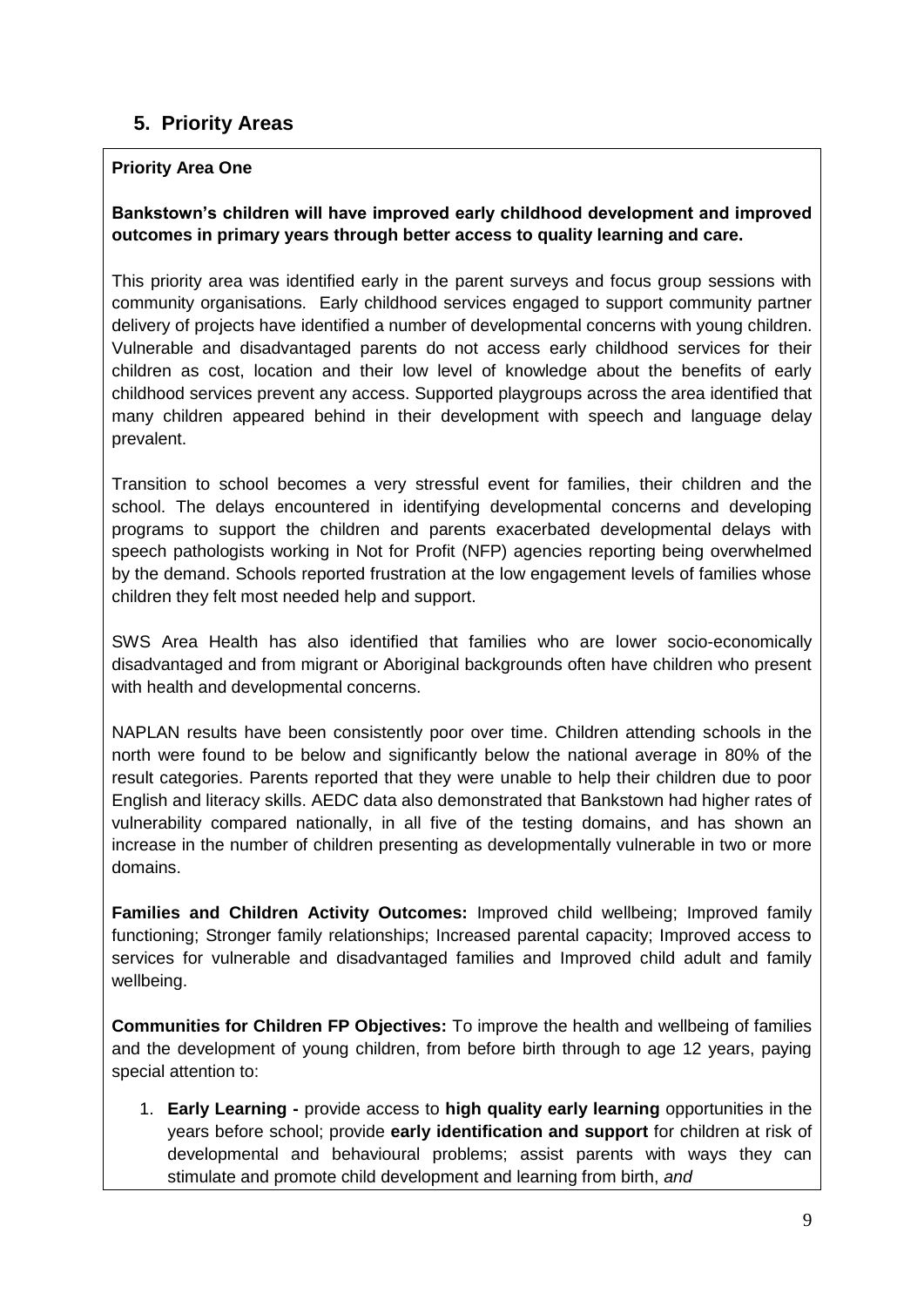# **5. Priority Areas**

# **Priority Area One**

### **Bankstown's children will have improved early childhood development and improved outcomes in primary years through better access to quality learning and care.**

This priority area was identified early in the parent surveys and focus group sessions with community organisations. Early childhood services engaged to support community partner delivery of projects have identified a number of developmental concerns with young children. Vulnerable and disadvantaged parents do not access early childhood services for their children as cost, location and their low level of knowledge about the benefits of early childhood services prevent any access. Supported playgroups across the area identified that many children appeared behind in their development with speech and language delay prevalent.

Transition to school becomes a very stressful event for families, their children and the school. The delays encountered in identifying developmental concerns and developing programs to support the children and parents exacerbated developmental delays with speech pathologists working in Not for Profit (NFP) agencies reporting being overwhelmed by the demand. Schools reported frustration at the low engagement levels of families whose children they felt most needed help and support.

SWS Area Health has also identified that families who are lower socio-economically disadvantaged and from migrant or Aboriginal backgrounds often have children who present with health and developmental concerns.

NAPLAN results have been consistently poor over time. Children attending schools in the north were found to be below and significantly below the national average in 80% of the result categories. Parents reported that they were unable to help their children due to poor English and literacy skills. AEDC data also demonstrated that Bankstown had higher rates of vulnerability compared nationally, in all five of the testing domains, and has shown an increase in the number of children presenting as developmentally vulnerable in two or more domains.

**Families and Children Activity Outcomes:** Improved child wellbeing; Improved family functioning; Stronger family relationships; Increased parental capacity; Improved access to services for vulnerable and disadvantaged families and Improved child adult and family wellbeing.

**Communities for Children FP Objectives:** To improve the health and wellbeing of families and the development of young children, from before birth through to age 12 years, paying special attention to:

1. **Early Learning -** provide access to **high quality early learning** opportunities in the years before school; provide **early identification and support** for children at risk of developmental and behavioural problems; assist parents with ways they can stimulate and promote child development and learning from birth, *and*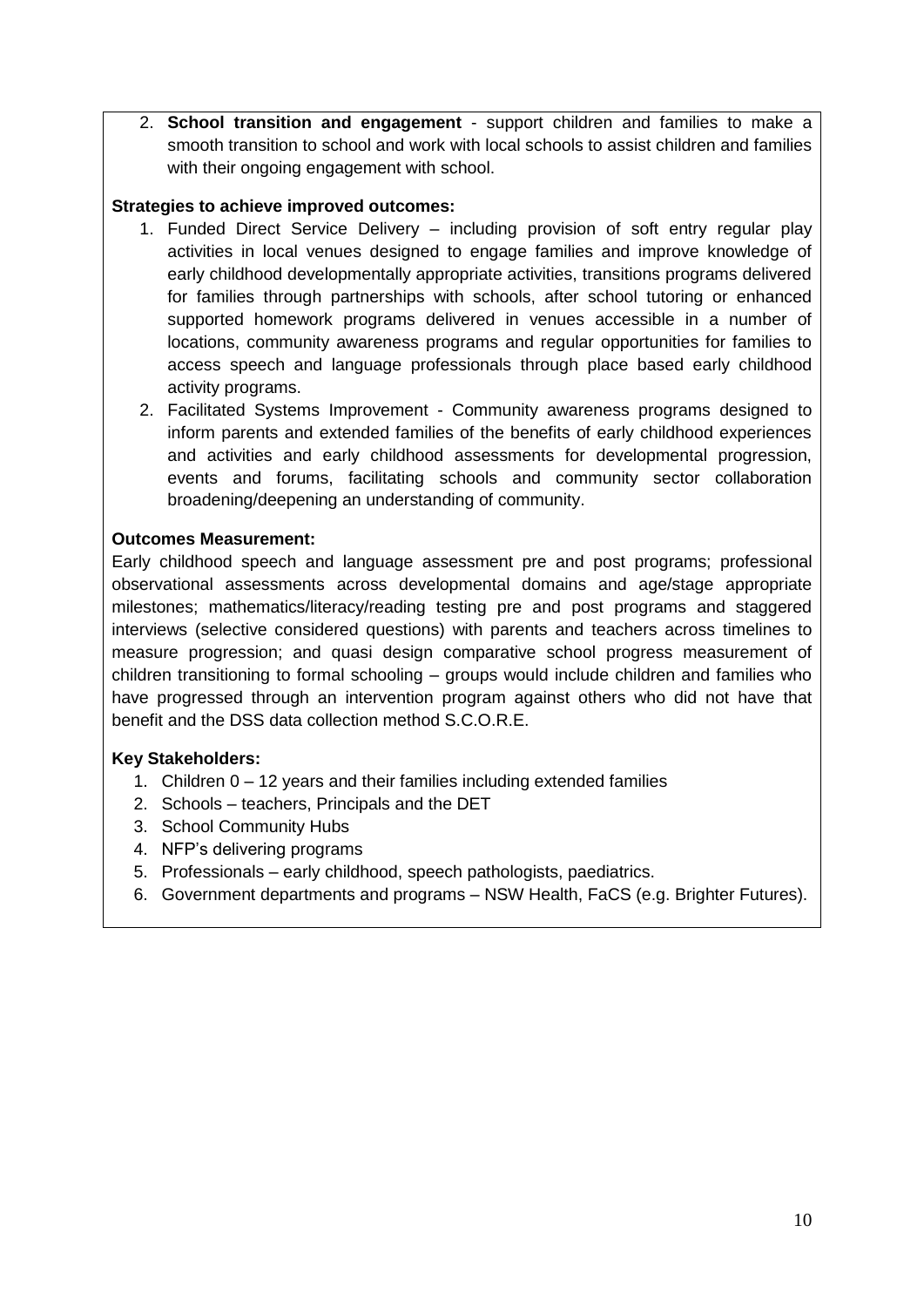2. **School transition and engagement** - support children and families to make a smooth transition to school and work with local schools to assist children and families with their ongoing engagement with school.

### **Strategies to achieve improved outcomes:**

- 1. Funded Direct Service Delivery including provision of soft entry regular play activities in local venues designed to engage families and improve knowledge of early childhood developmentally appropriate activities, transitions programs delivered for families through partnerships with schools, after school tutoring or enhanced supported homework programs delivered in venues accessible in a number of locations, community awareness programs and regular opportunities for families to access speech and language professionals through place based early childhood activity programs.
- 2. Facilitated Systems Improvement Community awareness programs designed to inform parents and extended families of the benefits of early childhood experiences and activities and early childhood assessments for developmental progression, events and forums, facilitating schools and community sector collaboration broadening/deepening an understanding of community.

#### **Outcomes Measurement:**

Early childhood speech and language assessment pre and post programs; professional observational assessments across developmental domains and age/stage appropriate milestones; mathematics/literacy/reading testing pre and post programs and staggered interviews (selective considered questions) with parents and teachers across timelines to measure progression; and quasi design comparative school progress measurement of children transitioning to formal schooling – groups would include children and families who have progressed through an intervention program against others who did not have that benefit and the DSS data collection method S.C.O.R.E.

- 1. Children 0 12 years and their families including extended families
- 2. Schools teachers, Principals and the DET
- 3. School Community Hubs
- 4. NFP's delivering programs
- 5. Professionals early childhood, speech pathologists, paediatrics.
- 6. Government departments and programs NSW Health, FaCS (e.g. Brighter Futures).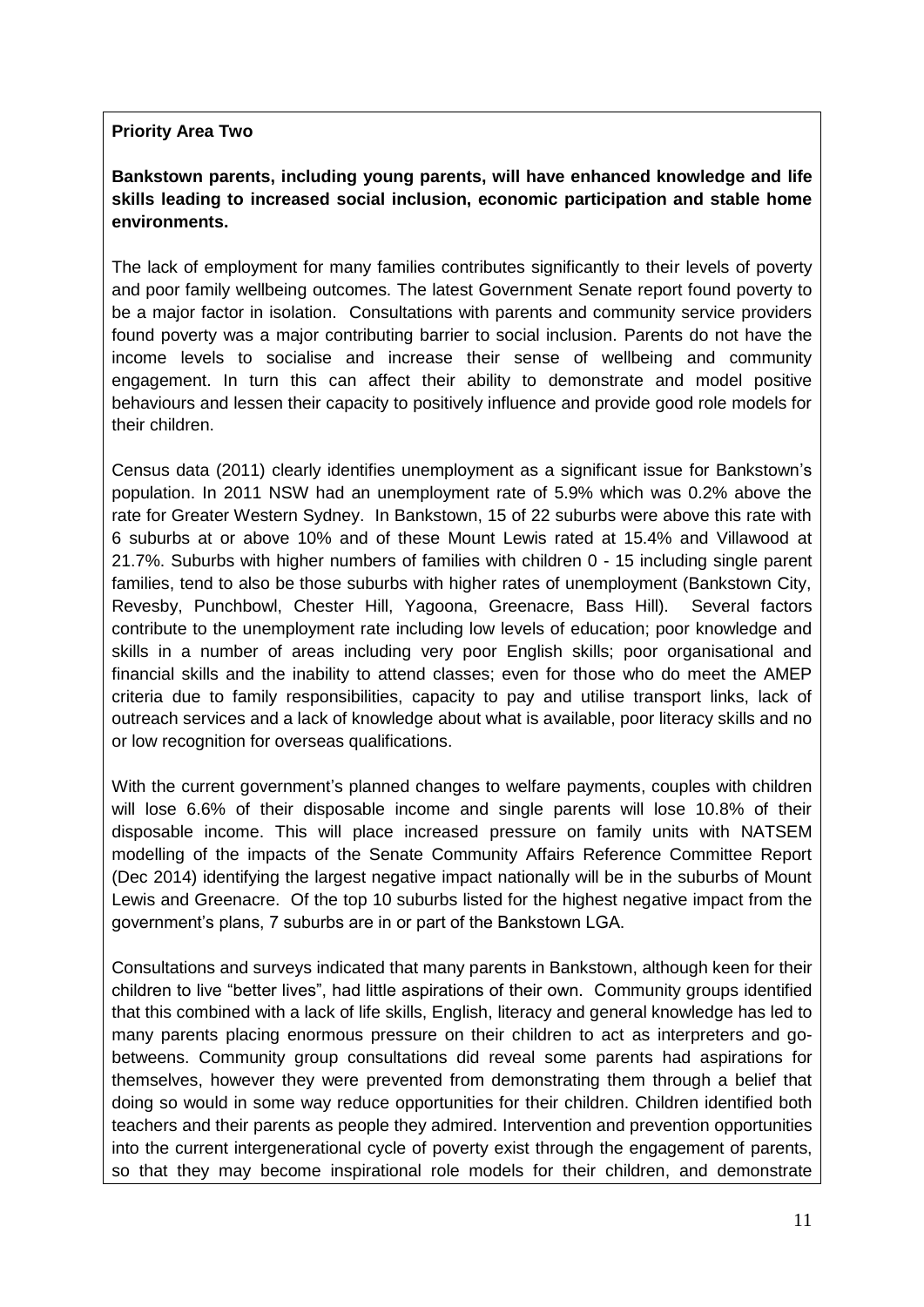### **Priority Area Two**

# **Bankstown parents, including young parents, will have enhanced knowledge and life skills leading to increased social inclusion, economic participation and stable home environments.**

The lack of employment for many families contributes significantly to their levels of poverty and poor family wellbeing outcomes. The latest Government Senate report found poverty to be a major factor in isolation. Consultations with parents and community service providers found poverty was a major contributing barrier to social inclusion. Parents do not have the income levels to socialise and increase their sense of wellbeing and community engagement. In turn this can affect their ability to demonstrate and model positive behaviours and lessen their capacity to positively influence and provide good role models for their children.

Census data (2011) clearly identifies unemployment as a significant issue for Bankstown's population. In 2011 NSW had an unemployment rate of 5.9% which was 0.2% above the rate for Greater Western Sydney. In Bankstown, 15 of 22 suburbs were above this rate with 6 suburbs at or above 10% and of these Mount Lewis rated at 15.4% and Villawood at 21.7%. Suburbs with higher numbers of families with children 0 - 15 including single parent families, tend to also be those suburbs with higher rates of unemployment (Bankstown City, Revesby, Punchbowl, Chester Hill, Yagoona, Greenacre, Bass Hill). Several factors contribute to the unemployment rate including low levels of education; poor knowledge and skills in a number of areas including very poor English skills; poor organisational and financial skills and the inability to attend classes; even for those who do meet the AMEP criteria due to family responsibilities, capacity to pay and utilise transport links, lack of outreach services and a lack of knowledge about what is available, poor literacy skills and no or low recognition for overseas qualifications.

With the current government's planned changes to welfare payments, couples with children will lose 6.6% of their disposable income and single parents will lose 10.8% of their disposable income. This will place increased pressure on family units with NATSEM modelling of the impacts of the Senate Community Affairs Reference Committee Report (Dec 2014) identifying the largest negative impact nationally will be in the suburbs of Mount Lewis and Greenacre. Of the top 10 suburbs listed for the highest negative impact from the government's plans, 7 suburbs are in or part of the Bankstown LGA.

Consultations and surveys indicated that many parents in Bankstown, although keen for their children to live "better lives", had little aspirations of their own. Community groups identified that this combined with a lack of life skills, English, literacy and general knowledge has led to many parents placing enormous pressure on their children to act as interpreters and gobetweens. Community group consultations did reveal some parents had aspirations for themselves, however they were prevented from demonstrating them through a belief that doing so would in some way reduce opportunities for their children. Children identified both teachers and their parents as people they admired. Intervention and prevention opportunities into the current intergenerational cycle of poverty exist through the engagement of parents, so that they may become inspirational role models for their children, and demonstrate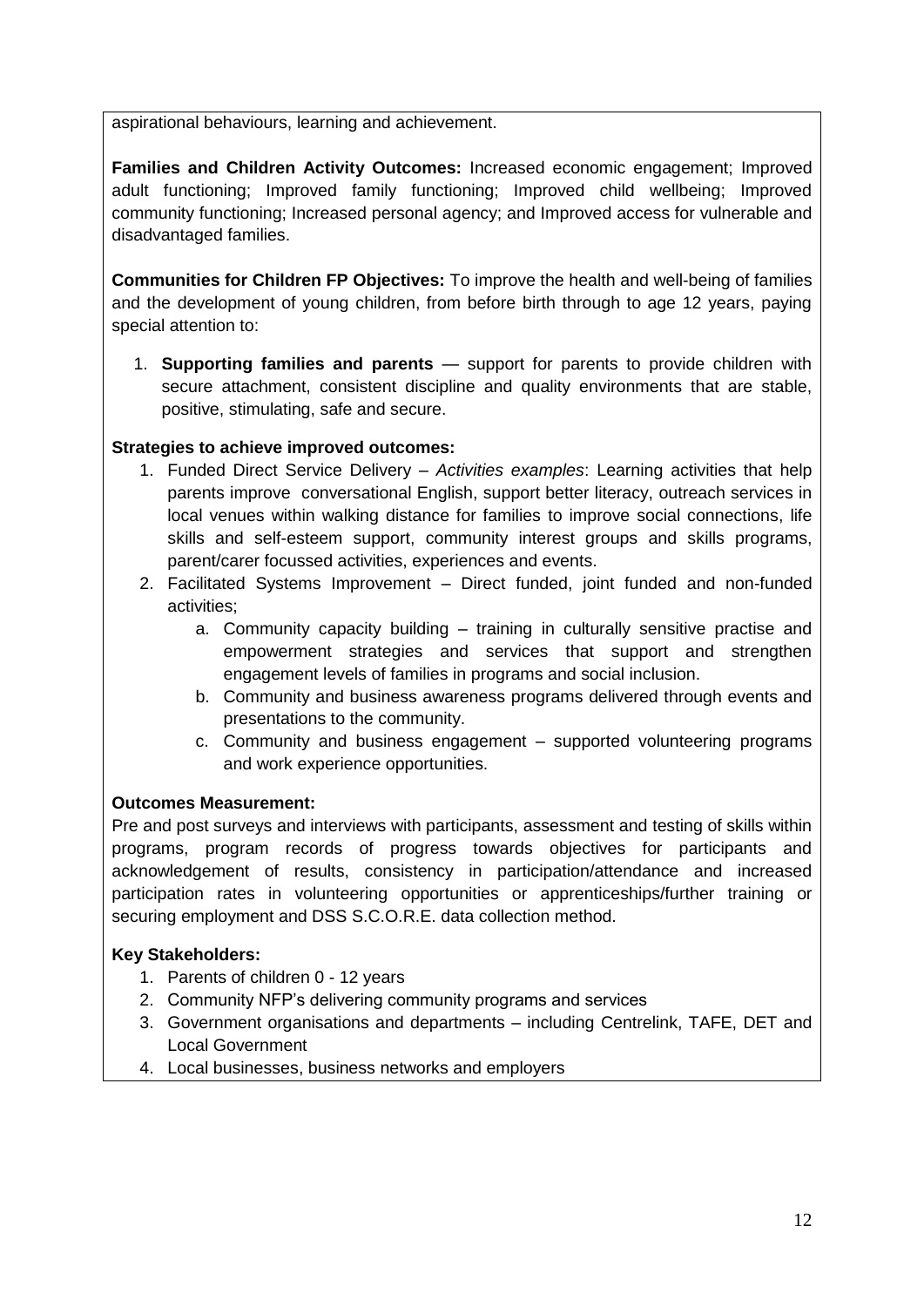aspirational behaviours, learning and achievement.

**Families and Children Activity Outcomes:** Increased economic engagement; Improved adult functioning; Improved family functioning; Improved child wellbeing; Improved community functioning; Increased personal agency; and Improved access for vulnerable and disadvantaged families.

**Communities for Children FP Objectives:** To improve the health and well-being of families and the development of young children, from before birth through to age 12 years, paying special attention to:

1. **Supporting families and parents** — support for parents to provide children with secure attachment, consistent discipline and quality environments that are stable, positive, stimulating, safe and secure.

# **Strategies to achieve improved outcomes:**

- 1. Funded Direct Service Delivery *Activities examples*: Learning activities that help parents improve conversational English, support better literacy, outreach services in local venues within walking distance for families to improve social connections, life skills and self-esteem support, community interest groups and skills programs, parent/carer focussed activities, experiences and events.
- 2. Facilitated Systems Improvement Direct funded, joint funded and non-funded activities;
	- a. Community capacity building training in culturally sensitive practise and empowerment strategies and services that support and strengthen engagement levels of families in programs and social inclusion.
	- b. Community and business awareness programs delivered through events and presentations to the community.
	- c. Community and business engagement supported volunteering programs and work experience opportunities.

### **Outcomes Measurement:**

Pre and post surveys and interviews with participants, assessment and testing of skills within programs, program records of progress towards objectives for participants and acknowledgement of results, consistency in participation/attendance and increased participation rates in volunteering opportunities or apprenticeships/further training or securing employment and DSS S.C.O.R.E. data collection method.

- 1. Parents of children 0 12 years
- 2. Community NFP's delivering community programs and services
- 3. Government organisations and departments including Centrelink, TAFE, DET and Local Government
- 4. Local businesses, business networks and employers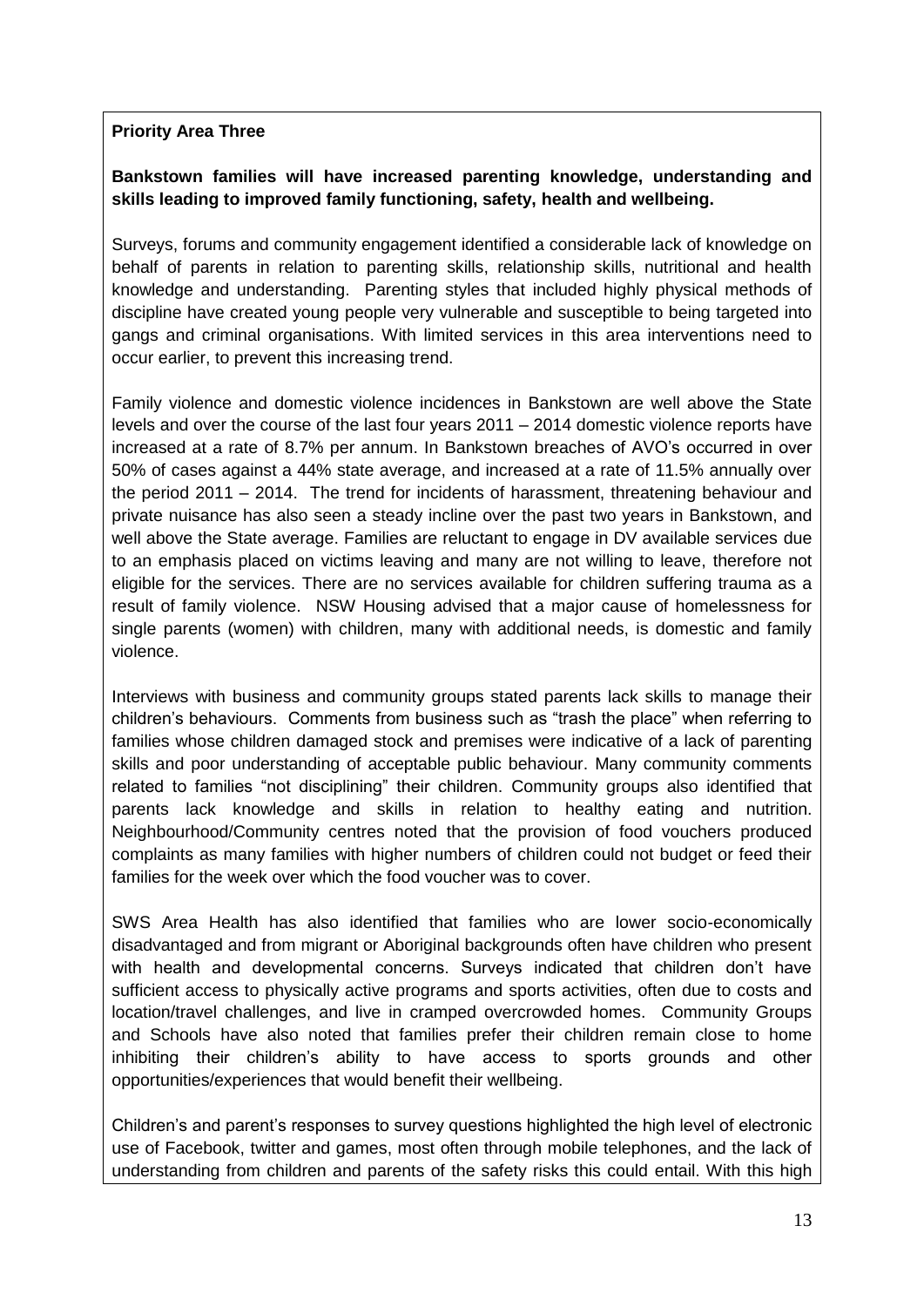# **Priority Area Three**

# **Bankstown families will have increased parenting knowledge, understanding and skills leading to improved family functioning, safety, health and wellbeing.**

Surveys, forums and community engagement identified a considerable lack of knowledge on behalf of parents in relation to parenting skills, relationship skills, nutritional and health knowledge and understanding. Parenting styles that included highly physical methods of discipline have created young people very vulnerable and susceptible to being targeted into gangs and criminal organisations. With limited services in this area interventions need to occur earlier, to prevent this increasing trend.

Family violence and domestic violence incidences in Bankstown are well above the State levels and over the course of the last four years 2011 – 2014 domestic violence reports have increased at a rate of 8.7% per annum. In Bankstown breaches of AVO's occurred in over 50% of cases against a 44% state average, and increased at a rate of 11.5% annually over the period 2011 – 2014. The trend for incidents of harassment, threatening behaviour and private nuisance has also seen a steady incline over the past two years in Bankstown, and well above the State average. Families are reluctant to engage in DV available services due to an emphasis placed on victims leaving and many are not willing to leave, therefore not eligible for the services. There are no services available for children suffering trauma as a result of family violence. NSW Housing advised that a major cause of homelessness for single parents (women) with children, many with additional needs, is domestic and family violence.

Interviews with business and community groups stated parents lack skills to manage their children's behaviours. Comments from business such as "trash the place" when referring to families whose children damaged stock and premises were indicative of a lack of parenting skills and poor understanding of acceptable public behaviour. Many community comments related to families "not disciplining" their children. Community groups also identified that parents lack knowledge and skills in relation to healthy eating and nutrition. Neighbourhood/Community centres noted that the provision of food vouchers produced complaints as many families with higher numbers of children could not budget or feed their families for the week over which the food voucher was to cover.

SWS Area Health has also identified that families who are lower socio-economically disadvantaged and from migrant or Aboriginal backgrounds often have children who present with health and developmental concerns. Surveys indicated that children don't have sufficient access to physically active programs and sports activities, often due to costs and location/travel challenges, and live in cramped overcrowded homes. Community Groups and Schools have also noted that families prefer their children remain close to home inhibiting their children's ability to have access to sports grounds and other opportunities/experiences that would benefit their wellbeing.

Children's and parent's responses to survey questions highlighted the high level of electronic use of Facebook, twitter and games, most often through mobile telephones, and the lack of understanding from children and parents of the safety risks this could entail. With this high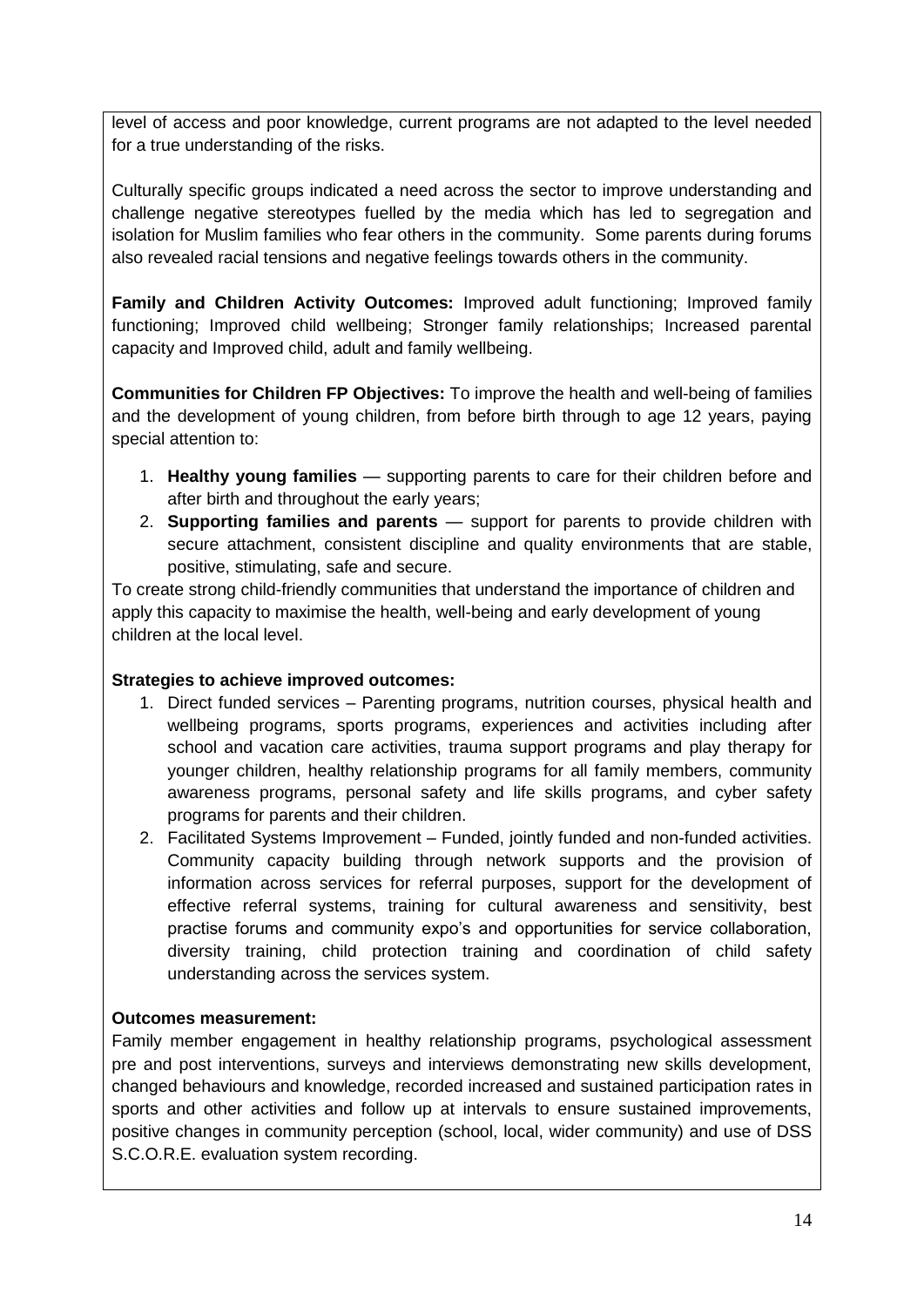level of access and poor knowledge, current programs are not adapted to the level needed for a true understanding of the risks.

Culturally specific groups indicated a need across the sector to improve understanding and challenge negative stereotypes fuelled by the media which has led to segregation and isolation for Muslim families who fear others in the community. Some parents during forums also revealed racial tensions and negative feelings towards others in the community.

**Family and Children Activity Outcomes:** Improved adult functioning; Improved family functioning; Improved child wellbeing; Stronger family relationships; Increased parental capacity and Improved child, adult and family wellbeing.

**Communities for Children FP Objectives:** To improve the health and well-being of families and the development of young children, from before birth through to age 12 years, paying special attention to:

- 1. **Healthy young families** supporting parents to care for their children before and after birth and throughout the early years;
- 2. **Supporting families and parents** support for parents to provide children with secure attachment, consistent discipline and quality environments that are stable, positive, stimulating, safe and secure.

To create strong child-friendly communities that understand the importance of children and apply this capacity to maximise the health, well-being and early development of young children at the local level.

### **Strategies to achieve improved outcomes:**

- 1. Direct funded services Parenting programs, nutrition courses, physical health and wellbeing programs, sports programs, experiences and activities including after school and vacation care activities, trauma support programs and play therapy for younger children, healthy relationship programs for all family members, community awareness programs, personal safety and life skills programs, and cyber safety programs for parents and their children.
- 2. Facilitated Systems Improvement Funded, jointly funded and non-funded activities. Community capacity building through network supports and the provision of information across services for referral purposes, support for the development of effective referral systems, training for cultural awareness and sensitivity, best practise forums and community expo's and opportunities for service collaboration, diversity training, child protection training and coordination of child safety understanding across the services system.

# **Outcomes measurement:**

Family member engagement in healthy relationship programs, psychological assessment pre and post interventions, surveys and interviews demonstrating new skills development, changed behaviours and knowledge, recorded increased and sustained participation rates in sports and other activities and follow up at intervals to ensure sustained improvements, positive changes in community perception (school, local, wider community) and use of DSS S.C.O.R.E. evaluation system recording.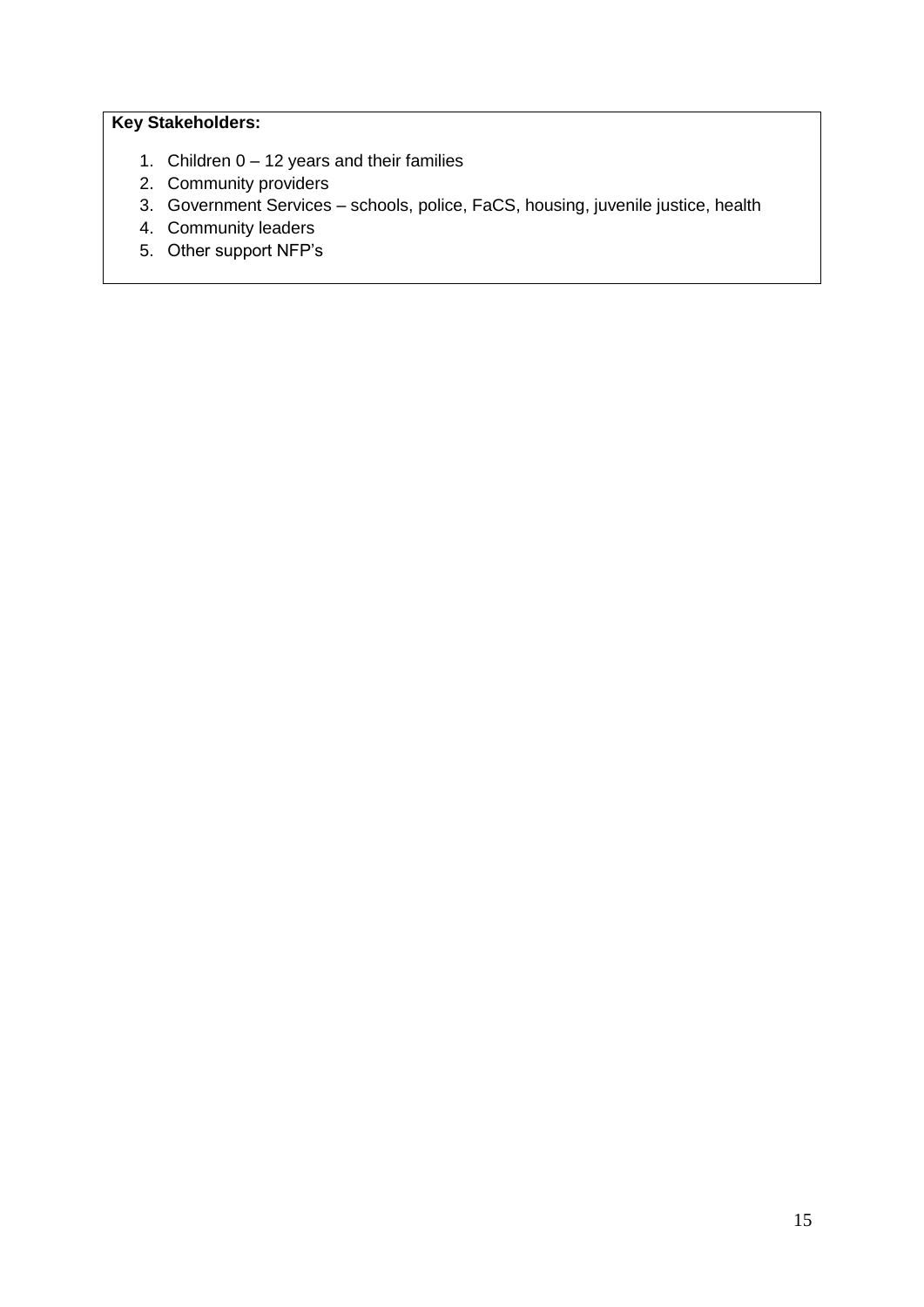- 1. Children 0 12 years and their families
- 2. Community providers
- 3. Government Services schools, police, FaCS, housing, juvenile justice, health
- 4. Community leaders
- 5. Other support NFP's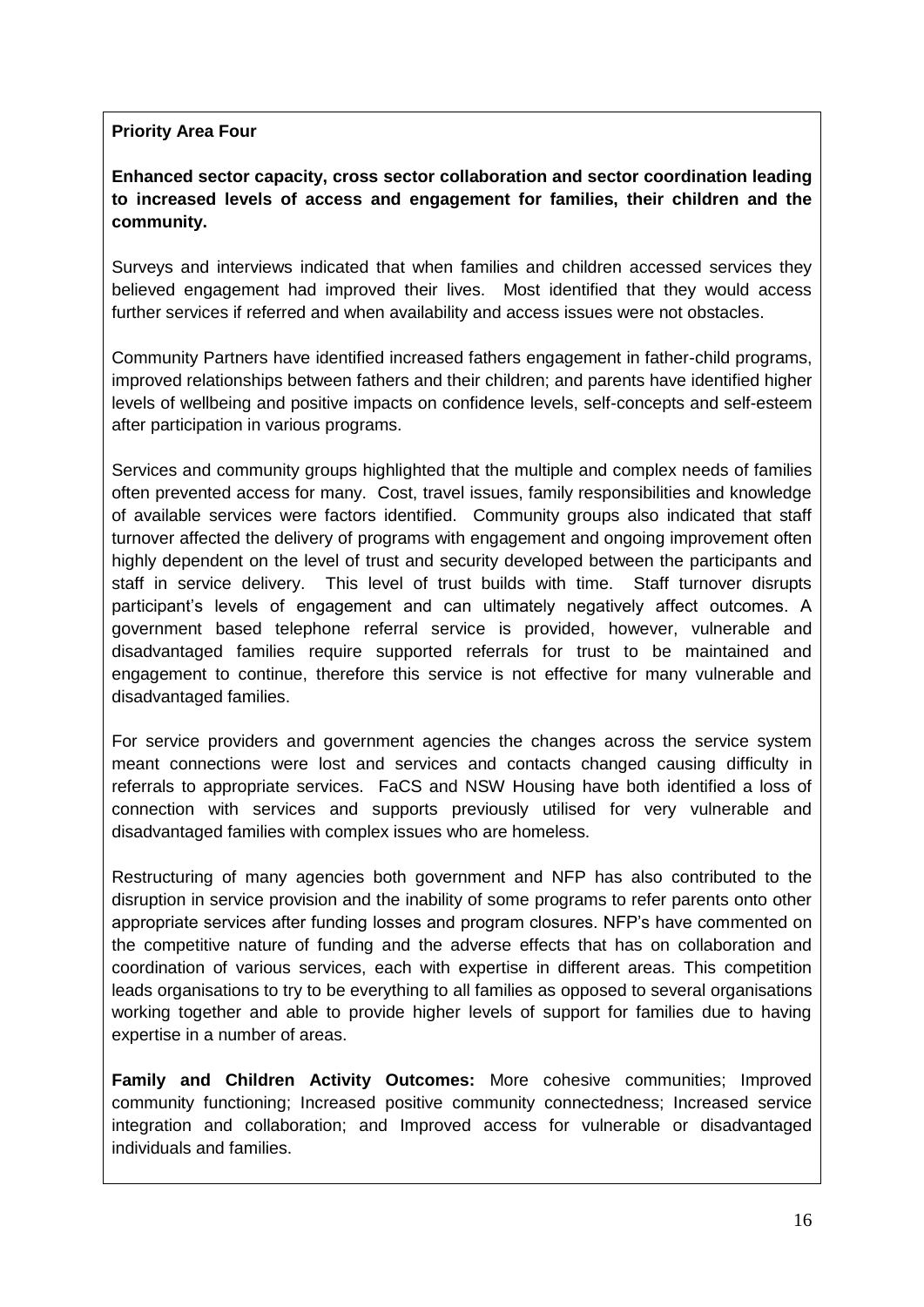# **Priority Area Four**

**Enhanced sector capacity, cross sector collaboration and sector coordination leading to increased levels of access and engagement for families, their children and the community.**

Surveys and interviews indicated that when families and children accessed services they believed engagement had improved their lives. Most identified that they would access further services if referred and when availability and access issues were not obstacles.

Community Partners have identified increased fathers engagement in father-child programs, improved relationships between fathers and their children; and parents have identified higher levels of wellbeing and positive impacts on confidence levels, self-concepts and self-esteem after participation in various programs.

Services and community groups highlighted that the multiple and complex needs of families often prevented access for many. Cost, travel issues, family responsibilities and knowledge of available services were factors identified. Community groups also indicated that staff turnover affected the delivery of programs with engagement and ongoing improvement often highly dependent on the level of trust and security developed between the participants and staff in service delivery. This level of trust builds with time. Staff turnover disrupts participant's levels of engagement and can ultimately negatively affect outcomes. A government based telephone referral service is provided, however, vulnerable and disadvantaged families require supported referrals for trust to be maintained and engagement to continue, therefore this service is not effective for many vulnerable and disadvantaged families.

For service providers and government agencies the changes across the service system meant connections were lost and services and contacts changed causing difficulty in referrals to appropriate services. FaCS and NSW Housing have both identified a loss of connection with services and supports previously utilised for very vulnerable and disadvantaged families with complex issues who are homeless.

Restructuring of many agencies both government and NFP has also contributed to the disruption in service provision and the inability of some programs to refer parents onto other appropriate services after funding losses and program closures. NFP's have commented on the competitive nature of funding and the adverse effects that has on collaboration and coordination of various services, each with expertise in different areas. This competition leads organisations to try to be everything to all families as opposed to several organisations working together and able to provide higher levels of support for families due to having expertise in a number of areas.

**Family and Children Activity Outcomes:** More cohesive communities; Improved community functioning; Increased positive community connectedness; Increased service integration and collaboration; and Improved access for vulnerable or disadvantaged individuals and families.